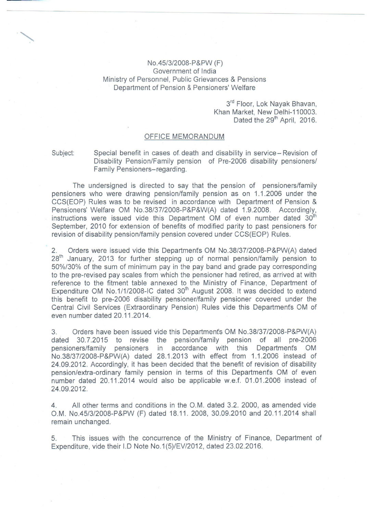No.45/3/200S-P&PW (F) Government of India Ministry of Personnel, Public Grievances & Pensions Department of Pension & Pensioners' Welfare

> 3<sup>rd</sup> Floor, Lok Nayak Bhavan, Khan Market, New Delhi-110003. Dated the 29<sup>th</sup> April, 2016.

## OFFICE MEMORANDUM

Subject: Special benefit in cases of. death and disability in service- Revision of Disability Pension/Family pension of Pre-2006 disability pensioners/ Family Pensioners-regarding.

The undersigned is directed to say that the pension of pensioners/family pensioners who were drawing pension/family pension as on 1.1.2006 under the CCS(EOP) Rules was to be revised in accordance with Department of Pension & Pensioners' Welfare OM NO.3S/37/200S-P&P&W(A) dated 1.9.200S. Accordingly, instructions were issued vide this Department OM of even number dated  $30<sup>th</sup>$ September, 2010 for extension of benefits of modified parity to past pensioners for revision of disability pension/family pension covered under CCS(EOP) Rules.

2. Orders were issued vide this Departments OM No.3S/37/200S-P&PW(A) dated 28<sup>th</sup> January, 2013 for further stepping up of normal pension/family pension to 50%/30% of the sum of minimum pay in the pay band and grade pay corresponding to the pre-revised pay scales from which the pensioner had retired, as arrived at with reference to the fitment table annexed to the Ministry of Finance, Department of Expenditure OM No.1/1/2008-IC dated 30<sup>th</sup> August 2008. It was decided to extend this benefit to pre-2006 disability pensioner/family pensioner covered under the Central Civil Services (Extraordinary Pension) Rules vide this Departments OM of even number dated 20.11.2014.

3. Orders have been issued vide this Departments OM No.3S/37/200S-P&PW(A) dated 30.7.2015 to revise the pension/family pension of all pre-2006 pensioners/family pensioners in accordance with this Departments OM No.3S/37/200S-P&PW(A) dated 2S.1.2013 with effect from 1.1.2006 instead of 24.09.2012. Accordingly, it has been decided that the benefit of revision of disability pension/extra-ordinary family pension in terms of this Departments OM of even number dated 20.11.2014 would also be applicable w.e.f. 01.01.2006 instead of 24.09.2012.

4. All other terms and conditions in the O.M. dated 3.2. 2000, as amended vide O.M. No.4513/200S-P&PW (F) dated 1S.11. 200S, 30.09.2010 and 20.11.2014 shall remain unchanged.

5. This issues with the concurrence of the Ministry of Finance, Department of Expenditure, vide their I.D Note No.1(5)/EV/2012, dated 23.02.2016.